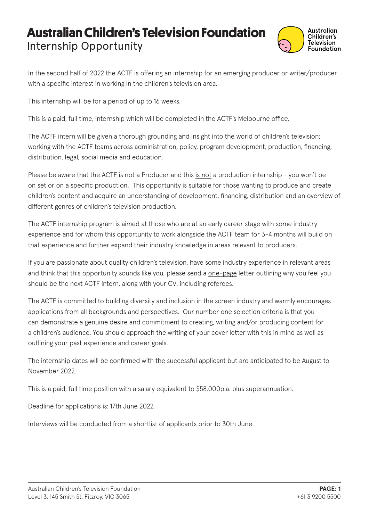## **Australian Children's Television Foundation** Internship Opportunity



In the second half of 2022 the ACTF is offering an internship for an emerging producer or writer/producer with a specific interest in working in the children's television area.

This internship will be for a period of up to 16 weeks.

This is a paid, full time, internship which will be completed in the ACTF's Melbourne office.

The ACTF intern will be given a thorough grounding and insight into the world of children's television; working with the ACTF teams across administration, policy, program development, production, financing, distribution, legal, social media and education.

Please be aware that the ACTF is not a Producer and this is not a production internship - you won't be on set or on a specific production. This opportunity is suitable for those wanting to produce and create children's content and acquire an understanding of development, financing, distribution and an overview of different genres of children's television production.

The ACTF internship program is aimed at those who are at an early career stage with some industry experience and for whom this opportunity to work alongside the ACTF team for 3-4 months will build on that experience and further expand their industry knowledge in areas relevant to producers.

If you are passionate about quality children's television, have some industry experience in relevant areas and think that this opportunity sounds like you, please send a one-page letter outlining why you feel you should be the next ACTF intern, along with your CV, including referees.

The ACTF is committed to building diversity and inclusion in the screen industry and warmly encourages applications from all backgrounds and perspectives. Our number one selection criteria is that you can demonstrate a genuine desire and commitment to creating, writing and/or producing content for a children's audience. You should approach the writing of your cover letter with this in mind as well as outlining your past experience and career goals.

The internship dates will be confirmed with the successful applicant but are anticipated to be August to November 2022.

This is a paid, full time position with a salary equivalent to \$58,000p.a. plus superannuation.

Deadline for applications is: 17th June 2022.

Interviews will be conducted from a shortlist of applicants prior to 30th June.